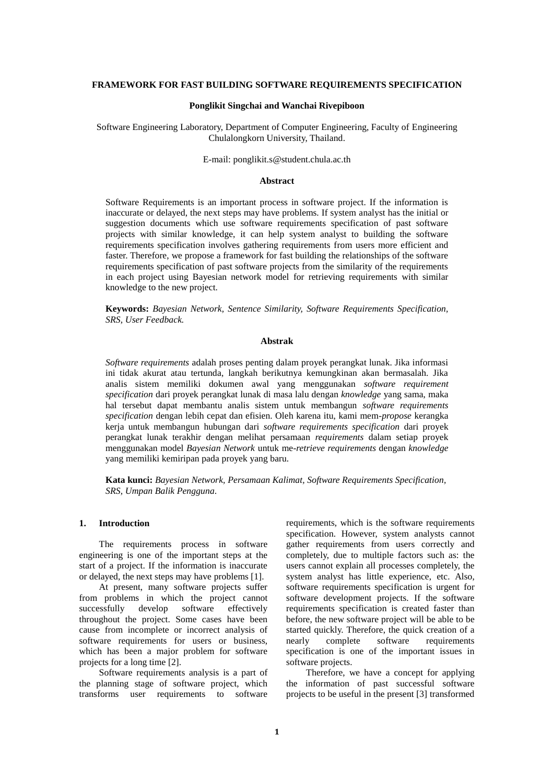## **FRAMEWORK FOR FAST BUILDING SOFTWARE REQUIREMENTS SPECIFICATION**

## **Ponglikit Singchai and Wanchai Rivepiboon**

Software Engineering Laboratory, Department of Computer Engineering, Faculty of Engineering Chulalongkorn University, Thailand.

### E-mail: ponglikit.s@student.chula.ac.th

# **Abstract**

Software Requirements is an important process in software project. If the information is inaccurate or delayed, the next steps may have problems. If system analyst has the initial or suggestion documents which use software requirements specification of past software projects with similar knowledge, it can help system analyst to building the software requirements specification involves gathering requirements from users more efficient and faster. Therefore, we propose a framework for fast building the relationships of the software requirements specification of past software projects from the similarity of the requirements in each project using Bayesian network model for retrieving requirements with similar knowledge to the new project.

**Keywords:** *Bayesian Network, Sentence Similarity, Software Requirements Specification, SRS, User Feedback.*

## **Abstrak**

*Software requirements* adalah proses penting dalam proyek perangkat lunak. Jika informasi ini tidak akurat atau tertunda, langkah berikutnya kemungkinan akan bermasalah. Jika analis sistem memiliki dokumen awal yang menggunakan *software requirement specification* dari proyek perangkat lunak di masa lalu dengan *knowledge* yang sama, maka hal tersebut dapat membantu analis sistem untuk membangun *software requirements specification* dengan lebih cepat dan efisien. Oleh karena itu, kami mem-*propose* kerangka kerja untuk membangun hubungan dari *software requirements specification* dari proyek perangkat lunak terakhir dengan melihat persamaan *requirements* dalam setiap proyek menggunakan model *Bayesian Network* untuk me-*retrieve requirements* dengan *knowledge* yang memiliki kemiripan pada proyek yang baru.

**Kata kunci:** *Bayesian Network, Persamaan Kalimat, Software Requirements Specification, SRS, Umpan Balik Pengguna.*

# **1. Introduction**

The requirements process in software engineering is one of the important steps at the start of a project. If the information is inaccurate or delayed, the next steps may have problems [1].

At present, many software projects suffer from problems in which the project cannot successfully develop software effectively throughout the project. Some cases have been cause from incomplete or incorrect analysis of software requirements for users or business, which has been a major problem for software projects for a long time [2].

Software requirements analysis is a part of the planning stage of software project, which transforms user requirements to software

requirements, which is the software requirements specification. However, system analysts cannot gather requirements from users correctly and completely, due to multiple factors such as: the users cannot explain all processes completely, the system analyst has little experience, etc. Also, software requirements specification is urgent for software development projects. If the software requirements specification is created faster than before, the new software project will be able to be started quickly. Therefore, the quick creation of a nearly complete software requirements specification is one of the important issues in software projects.

Therefore, we have a concept for applying the information of past successful software projects to be useful in the present [3] transformed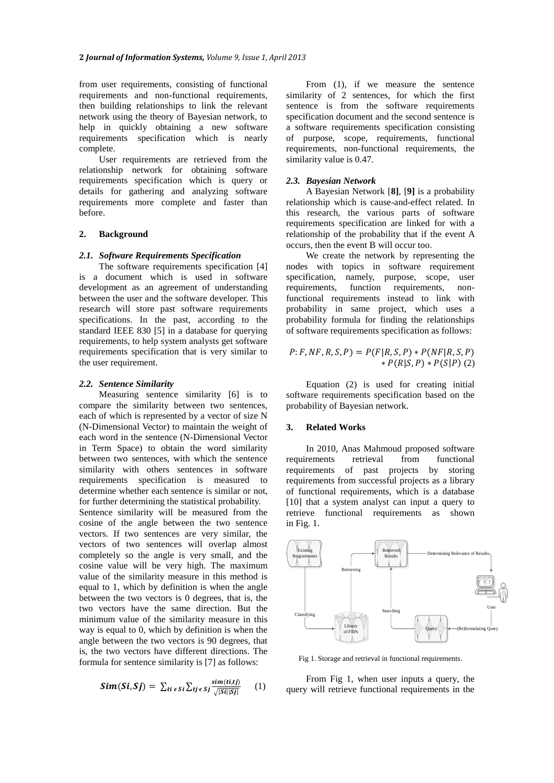from user requirements, consisting of functional requirements and non-functional requirements, then building relationships to link the relevant network using the theory of Bayesian network, to help in quickly obtaining a new software requirements specification which is nearly complete.

User requirements are retrieved from the relationship network for obtaining software requirements specification which is query or details for gathering and analyzing software requirements more complete and faster than before.

### **2. Background**

#### *2.1. Software Requirements Specification*

The software requirements specification [4] is a document which is used in software development as an agreement of understanding between the user and the software developer. This research will store past software requirements specifications. In the past, according to the standard IEEE 830 [5] in a database for querying requirements, to help system analysts get software requirements specification that is very similar to the user requirement.

## *2.2. Sentence Similarity*

Measuring sentence similarity [6] is to compare the similarity between two sentences, each of which is represented by a vector of size N (N-Dimensional Vector) to maintain the weight of each word in the sentence (N-Dimensional Vector in Term Space) to obtain the word similarity between two sentences, with which the sentence similarity with others sentences in software requirements specification is measured to determine whether each sentence is similar or not, for further determining the statistical probability. Sentence similarity will be measured from the cosine of the angle between the two sentence vectors. If two sentences are very similar, the vectors of two sentences will overlap almost completely so the angle is very small, and the cosine value will be very high. The maximum value of the similarity measure in this method is equal to 1, which by definition is when the angle between the two vectors is 0 degrees, that is, the two vectors have the same direction. But the minimum value of the similarity measure in this way is equal to 0, which by definition is when the angle between the two vectors is 90 degrees, that is, the two vectors have different directions. The formula for sentence similarity is [7] as follows:

$$
Sim(Si, Sj) = \sum_{ti \in SI} \sum_{tj \in Sj} \frac{sim(t, tj)}{\sqrt{|Si||Sj|}} \qquad (1)
$$

From (1), if we measure the sentence similarity of 2 sentences, for which the first sentence is from the software requirements specification document and the second sentence is a software requirements specification consisting of purpose, scope, requirements, functional requirements, non-functional requirements, the similarity value is 0.47.

## *2.3. Bayesian Network*

A Bayesian Network [**8]**, [**9]** is a probability relationship which is cause-and-effect related. In this research, the various parts of software requirements specification are linked for with a relationship of the probability that if the event A occurs, then the event B will occur too.

We create the network by representing the nodes with topics in software requirement specification, namely, purpose, scope, user<br>requirements, function requirements, nonfunction requirements, nonfunctional requirements instead to link with probability in same project, which uses a probability formula for finding the relationships of software requirements specification as follows:

$$
P: F, NF, R, S, P) = P(F|R, S, P) * P(NF|R, S, P) * P(R|S, P) * P(S|P) (2)
$$

Equation (2) is used for creating initial software requirements specification based on the probability of Bayesian network.

#### **3. Related Works**

In 2010, Anas Mahmoud proposed software requirements retrieval from functional requirements of past projects by storing requirements from successful projects as a library of functional requirements, which is a database [10] that a system analyst can input a query to retrieve functional requirements as shown in Fig. 1.



Fig 1. Storage and retrieval in functional requirements.

From Fig 1, when user inputs a query, the query will retrieve functional requirements in the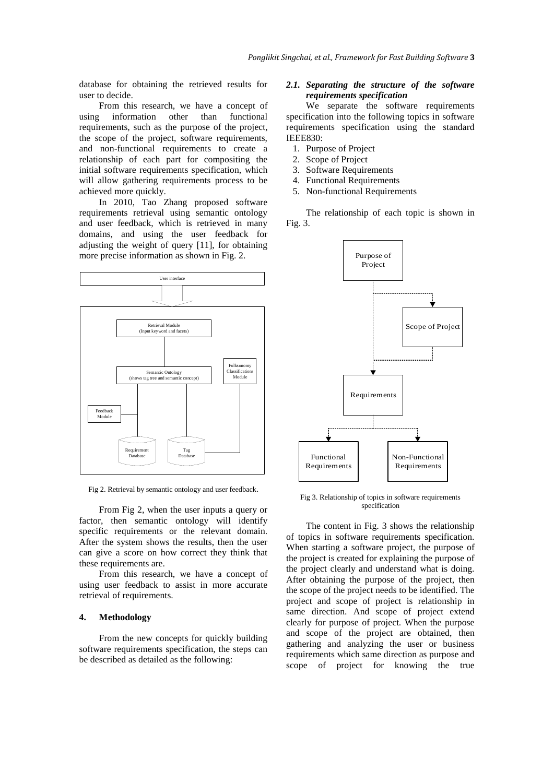database for obtaining the retrieved results for user to decide.

From this research, we have a concept of using information other than functional requirements, such as the purpose of the project, the scope of the project, software requirements, and non-functional requirements to create a relationship of each part for compositing the initial software requirements specification, which will allow gathering requirements process to be achieved more quickly.

In 2010, Tao Zhang proposed software requirements retrieval using semantic ontology and user feedback, which is retrieved in many domains, and using the user feedback for adjusting the weight of query [11], for obtaining more precise information as shown in Fig. 2.



Fig 2. Retrieval by semantic ontology and user feedback.

From Fig 2, when the user inputs a query or factor, then semantic ontology will identify specific requirements or the relevant domain. After the system shows the results, then the user can give a score on how correct they think that these requirements are.

From this research, we have a concept of using user feedback to assist in more accurate retrieval of requirements.

## **4. Methodology**

From the new concepts for quickly building software requirements specification, the steps can be described as detailed as the following:

## *2.1. Separating the structure of the software requirements specification*

We separate the software requirements specification into the following topics in software requirements specification using the standard IEEE830:

- 1. Purpose of Project
- 2. Scope of Project
- 3. Software Requirements
- 4. Functional Requirements
- 5. Non-functional Requirements

The relationship of each topic is shown in Fig. 3.



Fig 3. Relationship of topics in software requirements specification

The content in Fig. 3 shows the relationship of topics in software requirements specification. When starting a software project, the purpose of the project is created for explaining the purpose of the project clearly and understand what is doing. After obtaining the purpose of the project, then the scope of the project needs to be identified. The project and scope of project is relationship in same direction. And scope of project extend clearly for purpose of project. When the purpose and scope of the project are obtained, then gathering and analyzing the user or business requirements which same direction as purpose and scope of project for knowing the true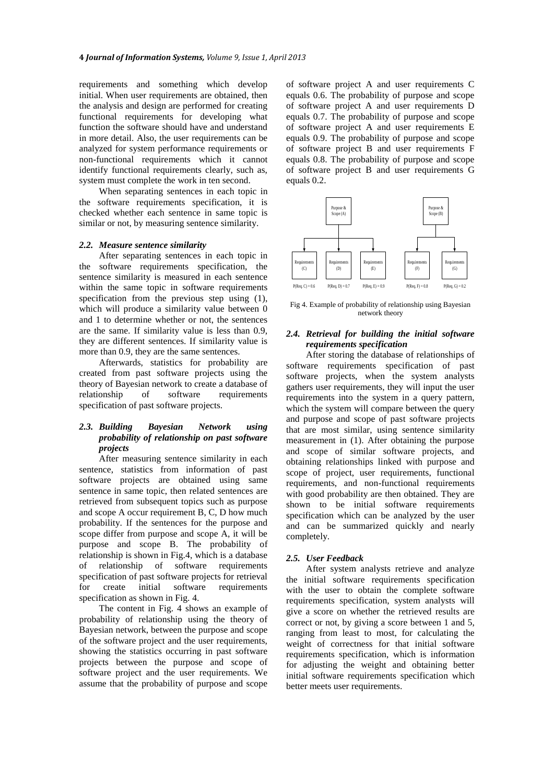requirements and something which develop initial. When user requirements are obtained, then the analysis and design are performed for creating functional requirements for developing what function the software should have and understand in more detail. Also, the user requirements can be analyzed for system performance requirements or non-functional requirements which it cannot identify functional requirements clearly, such as, system must complete the work in ten second.

When separating sentences in each topic in the software requirements specification, it is checked whether each sentence in same topic is similar or not, by measuring sentence similarity.

### *2.2. Measure sentence similarity*

After separating sentences in each topic in the software requirements specification, the sentence similarity is measured in each sentence within the same topic in software requirements specification from the previous step using (1), which will produce a similarity value between 0 and 1 to determine whether or not, the sentences are the same. If similarity value is less than 0.9, they are different sentences. If similarity value is more than 0.9, they are the same sentences.

Afterwards, statistics for probability are created from past software projects using the theory of Bayesian network to create a database of relationship of software requirements specification of past software projects.

## *2.3. Building Bayesian Network using probability of relationship on past software projects*

After measuring sentence similarity in each sentence, statistics from information of past software projects are obtained using same sentence in same topic, then related sentences are retrieved from subsequent topics such as purpose and scope A occur requirement B, C, D how much probability. If the sentences for the purpose and scope differ from purpose and scope A, it will be purpose and scope B. The probability of relationship is shown in Fig.4, which is a database of relationship of software requirements specification of past software projects for retrieval for create initial software requirements specification as shown in Fig. 4.

The content in Fig. 4 shows an example of probability of relationship using the theory of Bayesian network, between the purpose and scope of the software project and the user requirements, showing the statistics occurring in past software projects between the purpose and scope of software project and the user requirements. We assume that the probability of purpose and scope

of software project A and user requirements C equals 0.6. The probability of purpose and scope of software project A and user requirements D equals 0.7. The probability of purpose and scope of software project A and user requirements E equals 0.9. The probability of purpose and scope of software project B and user requirements F equals 0.8. The probability of purpose and scope of software project B and user requirements G equals 0.2.



Fig 4. Example of probability of relationship using Bayesian network theory

# *2.4. Retrieval for building the initial software requirements specification*

After storing the database of relationships of software requirements specification of past software projects, when the system analysts gathers user requirements, they will input the user requirements into the system in a query pattern, which the system will compare between the query and purpose and scope of past software projects that are most similar, using sentence similarity measurement in (1). After obtaining the purpose and scope of similar software projects, and obtaining relationships linked with purpose and scope of project, user requirements, functional requirements, and non-functional requirements with good probability are then obtained. They are shown to be initial software requirements specification which can be analyzed by the user and can be summarized quickly and nearly completely.

#### *2.5. User Feedback*

After system analysts retrieve and analyze the initial software requirements specification with the user to obtain the complete software requirements specification, system analysts will give a score on whether the retrieved results are correct or not, by giving a score between 1 and 5, ranging from least to most, for calculating the weight of correctness for that initial software requirements specification, which is information for adjusting the weight and obtaining better initial software requirements specification which better meets user requirements.